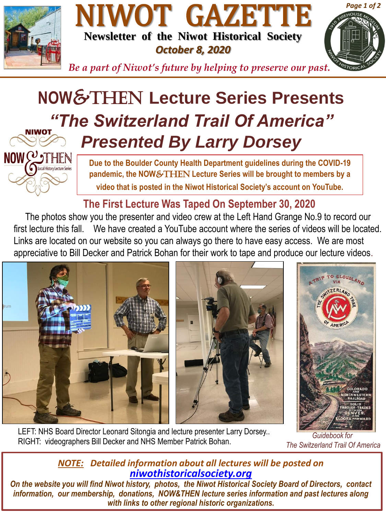



*Be a part of Niwot's future by helping to preserve our past.*

# **NOW**&THen **Lecture Series Presents** *"The Switzerland Trail Of America" Presented By Larry Dorsey*



**Due to the Boulder County Health Department guidelines during the COVID-19 pandemic, the NOW**&THEN **Lecture Series will be brought to members by a video that is posted in the Niwot Historical Society's account on YouTube.**

**The First Lecture Was Taped On September 30, 2020**

The photos show you the presenter and video crew at the Left Hand Grange No.9 to record our first lecture this fall. We have created a YouTube account where the series of videos will be located. Links are located on our website so you can always go there to have easy access. We are most appreciative to Bill Decker and Patrick Bohan for their work to tape and produce our lecture videos.

![](_page_0_Picture_8.jpeg)

LEFT: NHS Board Director Leonard Sitongia and lecture presenter Larry Dorsey.. RIGHT: videographers Bill Decker and NHS Member Patrick Bohan.

*Guidebook for The Switzerland Trail Of America*

*Page 1 of 2*

### *NOTE: Detailed information about all lectures will be posted on [niwothistoricalsociety.org](http://www.niwothistoricalsociety.org/)*

*On the website you will find Niwot history, photos, the Niwot Historical Society Board of Directors, contact information, our membership, donations, NOW&THEN lecture series information and past lectures along with links to other regional historic organizations.*